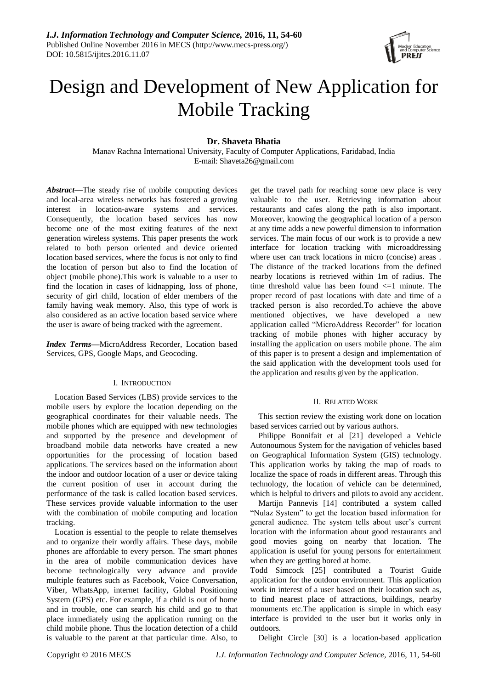

# Design and Development of New Application for Mobile Tracking

# **Dr. Shaveta Bhatia**

Manav Rachna International University, Faculty of Computer Applications, Faridabad, India E-mail: Shaveta26@gmail.com

*Abstract—*The steady rise of mobile computing devices and local-area wireless networks has fostered a growing interest in location-aware systems and services. Consequently, the location based services has now become one of the most exiting features of the next generation wireless systems. This paper presents the work related to both person oriented and device oriented location based services, where the focus is not only to find the location of person but also to find the location of object (mobile phone).This work is valuable to a user to find the location in cases of kidnapping, loss of phone, security of girl child, location of elder members of the family having weak memory. Also, this type of work is also considered as an active location based service where the user is aware of being tracked with the agreement.

*Index Terms—*MicroAddress Recorder, Location based Services, GPS, Google Maps, and Geocoding.

## I. INTRODUCTION

Location Based Services (LBS) provide services to the mobile users by explore the location depending on the geographical coordinates for their valuable needs. The mobile phones which are equipped with new technologies and supported by the presence and development of broadband mobile data networks have created a new opportunities for the processing of location based applications. The services based on the information about the indoor and outdoor location of a user or device taking the current position of user in account during the performance of the task is called location based services. These services provide valuable information to the user with the combination of mobile computing and location tracking.

Location is essential to the people to relate themselves and to organize their wordly affairs. These days, mobile phones are affordable to every person. The smart phones in the area of mobile communication devices have become technologically very advance and provide multiple features such as Facebook, Voice Conversation, Viber, WhatsApp, internet facility, Global Positioning System (GPS) etc. For example, if a child is out of home and in trouble, one can search his child and go to that place immediately using the application running on the child mobile phone. Thus the location detection of a child is valuable to the parent at that particular time. Also, to get the travel path for reaching some new place is very valuable to the user. Retrieving information about restaurants and cafes along the path is also important. Moreover, knowing the geographical location of a person at any time adds a new powerful dimension to information services. The main focus of our work is to provide a new interface for location tracking with microaddressing where user can track locations in micro (concise) areas . The distance of the tracked locations from the defined nearby locations is retrieved within 1m of radius. The time threshold value has been found  $\leq 1$  minute. The proper record of past locations with date and time of a tracked person is also recorded.To achieve the above mentioned objectives, we have developed a new application called "MicroAddress Recorder" for location tracking of mobile phones with higher accuracy by installing the application on users mobile phone. The aim of this paper is to present a design and implementation of the said application with the development tools used for the application and results given by the application.

# II. RELATED WORK

This section review the existing work done on location based services carried out by various authors.

Philippe Bonnifait et al [21] developed a Vehicle Autonoumous System for the navigation of vehicles based on Geographical Information System (GIS) technology. This application works by taking the map of roads to localize the space of roads in different areas. Through this technology, the location of vehicle can be determined, which is helpful to drivers and pilots to avoid any accident.

Martijn Pannevis [14] contributed a system called "Nulaz System" to get the location based information for general audience. The system tells about user's current location with the information about good restaurants and good movies going on nearby that location. The application is useful for young persons for entertainment when they are getting bored at home.

Todd Simcock [25] contributed a Tourist Guide application for the outdoor environment. This application work in interest of a user based on their location such as, to find nearest place of attractions, buildings, nearby monuments etc.The application is simple in which easy interface is provided to the user but it works only in outdoors.

Delight Circle [30] is a location-based application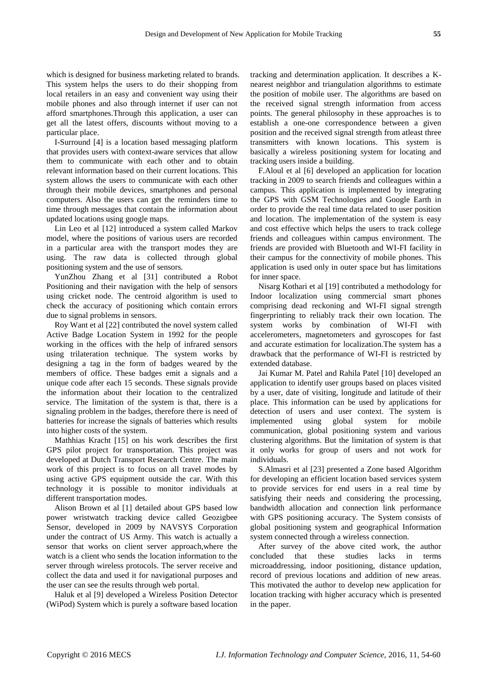which is designed for business marketing related to brands. This system helps the users to do their shopping from local retailers in an easy and convenient way using their mobile phones and also through internet if user can not afford smartphones.Through this application, a user can get all the latest offers, discounts without moving to a particular place.

I-Surround [4] is a location based messaging platform that provides users with context-aware services that allow them to communicate with each other and to obtain relevant information based on their current locations. This system allows the users to communicate with each other through their mobile devices, smartphones and personal computers. Also the users can get the reminders time to time through messages that contain the information about updated locations using google maps.

Lin Leo et al [12] introduced a system called Markov model, where the positions of various users are recorded in a particular area with the transport modes they are using. The raw data is collected through global positioning system and the use of sensors.

YunZhou Zhang et al [31] contributed a Robot Positioning and their navigation with the help of sensors using cricket node. The centroid algorithm is used to check the accuracy of positioning which contain errors due to signal problems in sensors.

Roy Want et al [22] contributed the novel system called Active Badge Location System in 1992 for the people working in the offices with the help of infrared sensors using trilateration technique. The system works by designing a tag in the form of badges weared by the members of office. These badges emit a signals and a unique code after each 15 seconds. These signals provide the information about their location to the centralized service. The limitation of the system is that, there is a signaling problem in the badges, therefore there is need of batteries for increase the signals of batteries which results into higher costs of the system.

Mathhias Kracht [15] on his work describes the first GPS pilot project for transportation. This project was developed at Dutch Transport Research Centre. The main work of this project is to focus on all travel modes by using active GPS equipment outside the car. With this technology it is possible to monitor individuals at different transportation modes.

Alison Brown et al [1] detailed about GPS based low power wristwatch tracking device called Geozigbee Sensor, developed in 2009 by NAVSYS Corporation under the contract of US Army. This watch is actually a sensor that works on client server approach,where the watch is a client who sends the location information to the server through wireless protocols. The server receive and collect the data and used it for navigational purposes and the user can see the results through web portal.

Haluk et al [9] developed a Wireless Position Detector (WiPod) System which is purely a software based location tracking and determination application. It describes a Knearest neighbor and triangulation algorithms to estimate the position of mobile user. The algorithms are based on the received signal strength information from access points. The general philosophy in these approaches is to establish a one-one correspondence between a given position and the received signal strength from atleast three transmitters with known locations. This system is basically a wireless positioning system for locating and tracking users inside a building.

F.Aloul et al [6] developed an application for location tracking in 2009 to search friends and colleagues within a campus. This application is implemented by integrating the GPS with GSM Technologies and Google Earth in order to provide the real time data related to user position and location. The implementation of the system is easy and cost effective which helps the users to track college friends and colleagues within campus environment. The friends are provided with Bluetooth and WI-FI facility in their campus for the connectivity of mobile phones. This application is used only in outer space but has limitations for inner space.

Nisarg Kothari et al [19] contributed a methodology for Indoor localization using commercial smart phones comprising dead reckoning and WI-FI signal strength fingerprinting to reliably track their own location. The system works by combination of WI-FI with accelerometers, magnetometers and gyroscopes for fast and accurate estimation for localization.The system has a drawback that the performance of WI-FI is restricted by extended database.

Jai Kumar M. Patel and Rahila Patel [10] developed an application to identify user groups based on places visited by a user, date of visiting, longitude and latitude of their place. This information can be used by applications for detection of users and user context. The system is implemented using global system for mobile communication, global positioning system and various clustering algorithms. But the limitation of system is that it only works for group of users and not work for individuals.

S.Almasri et al [23] presented a Zone based Algorithm for developing an efficient location based services system to provide services for end users in a real time by satisfying their needs and considering the processing, bandwidth allocation and connection link performance with GPS positioning accuracy. The System consists of global positioning system and geographical Information system connected through a wireless connection.

After survey of the above cited work, the author concluded that these studies lacks in terms microaddressing, indoor positioning, distance updation, record of previous locations and addition of new areas. This motivated the author to develop new application for location tracking with higher accuracy which is presented in the paper.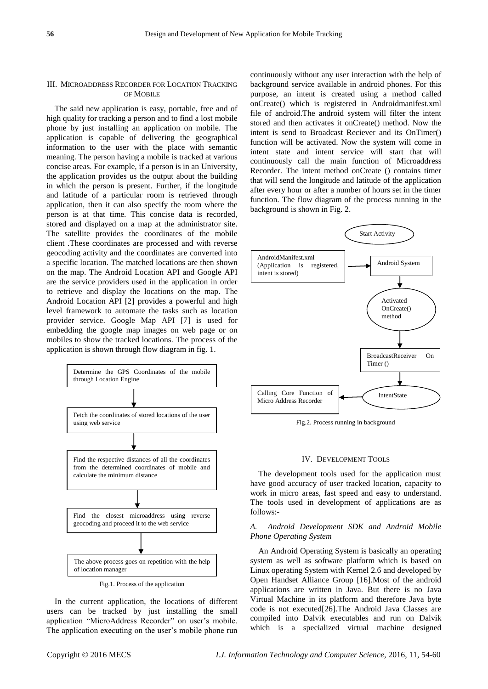## III. MICROADDRESS RECORDER FOR LOCATION TRACKING OF MOBILE

The said new application is easy, portable, free and of high quality for tracking a person and to find a lost mobile phone by just installing an application on mobile. The application is capable of delivering the geographical information to the user with the place with semantic meaning. The person having a mobile is tracked at various concise areas. For example, if a person is in an University, the application provides us the output about the building in which the person is present. Further, if the longitude and latitude of a particular room is retrieved through application, then it can also specify the room where the person is at that time. This concise data is recorded, stored and displayed on a map at the administrator site. The satellite provides the coordinates of the mobile client .These coordinates are processed and with reverse geocoding activity and the coordinates are converted into a specific location. The matched locations are then shown on the map. The Android Location API and Google API are the service providers used in the application in order to retrieve and display the locations on the map. The Android Location API [2] provides a powerful and high level framework to automate the tasks such as location provider service. Google Map API [7] is used for embedding the google map images on web page or on mobiles to show the tracked locations. The process of the application is shown through flow diagram in fig. 1.



Fig.1. Process of the application

In the current application, the locations of different users can be tracked by just installing the small application "MicroAddress Recorder" on user's mobile. The application executing on the user's mobile phone run continuously without any user interaction with the help of background service available in android phones. For this purpose, an intent is created using a method called onCreate() which is registered in Androidmanifest.xml file of android.The android system will filter the intent stored and then activates it onCreate() method. Now the intent is send to Broadcast Reciever and its OnTimer() function will be activated. Now the system will come in intent state and intent service will start that will continuously call the main function of Microaddress Recorder. The intent method onCreate () contains timer that will send the longitude and latitude of the application after every hour or after a number of hours set in the timer function. The flow diagram of the process running in the background is shown in Fig. 2.



Fig.2. Process running in background

## IV. DEVELOPMENT TOOLS

The development tools used for the application must have good accuracy of user tracked location, capacity to work in micro areas, fast speed and easy to understand. The tools used in development of applications are as follows:-

## *A. Android Development SDK and Android Mobile Phone Operating System*

An Android Operating System is basically an operating system as well as software platform which is based on Linux operating System with Kernel 2.6 and developed by Open Handset Alliance Group [16].Most of the android applications are written in Java. But there is no [Java](http://en.wikipedia.org/wiki/Java_Virtual_Machine)  [Virtual Machine](http://en.wikipedia.org/wiki/Java_Virtual_Machine) in its platform and therefore Java byte code is not executed[26].The Android Java Classes are compiled into Dalvik executables and run on [Dalvik](http://en.wikipedia.org/wiki/Dalvik_virtual_machine) which is a specialized virtual machine designed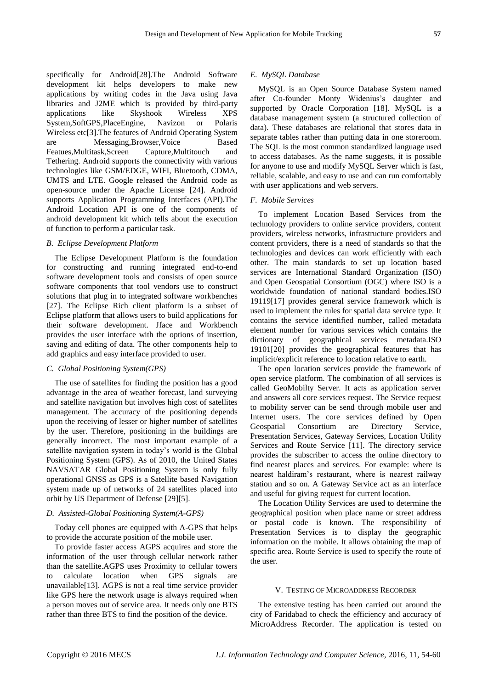specifically for Android[28].The Android Software development kit helps developers to make new applications by writing codes in the Java using Java libraries and [J2ME](http://en.wikipedia.org/wiki/J2ME) which is provided by third-party applications like Skyshook Wireless XPS System,SoftGPS,PlaceEngine, Navizon or Polaris Wireless etc[3].The features of Android Operating System Messaging,Browser,Voice Based Featues,Multitask,Screen Capture,Multitouch and Tethering. Android supports the connectivity with various technologies like GSM/EDGE, WIFI, Bluetooth, CDMA, UMTS and LTE. Google released the Android code as open-source under the Apache License [24]. Android supports Application Programming Interfaces (API).The Android Location API is one of the components of android development kit which tells about the execution of function to perform a particular task.

## *B. Eclipse Development Platform*

The Eclipse Development Platform is the foundation for constructing and running integrated end-to-end software development tools and consists of open source software components that tool vendors use to construct solutions that plug in to integrated software workbenches [27]. The Eclipse Rich client platform is a subset of Eclipse platform that allows users to build applications for their software development. Jface and Workbench provides the user interface with the options of insertion, saving and editing of data. The other components help to add graphics and easy interface provided to user.

#### *C. Global Positioning System(GPS)*

The use of satellites for finding the position has a good advantage in the area of weather forecast, land surveying and satellite navigation but involves high cost of satellites management. The accuracy of the positioning depends upon the receiving of lesser or higher number of satellites by the user. Therefore, positioning in the buildings are generally incorrect. The most important example of a satellite navigation system in today's world is the Global Positioning System (GPS). As of 2010, the United States NAVSATAR Global Positioning System is only fully operational GNSS as GPS is a Satellite based Navigation system made up of networks of 24 satellites placed into orbit by US Department of Defense [29][5].

### *D. Assisted-Global Positioning System(A-GPS)*

Today cell phones are equipped with A-GPS that helps to provide the accurate position of the mobile user.

To provide faster access AGPS acquires and store the information of the user through cellular network rather than the satellite.AGPS uses Proximity to cellular towers to calculate location when GPS signals are unavailable[13]. AGPS is not a real time service provider like GPS here the network usage is always required when a person moves out of service area. It needs only one BTS rather than three BTS to find the position of the device.

#### *E. MySQL Database*

MySQL is an Open Source Database System named after Co-founder Monty Widenius's daughter and supported by Oracle Corporation [18]. MySQL is a database management system (a structured collection of data). These databases are relational that stores data in separate tables rather than putting data in one storeroom. The SQL is the most common standardized language used to access databases. As the name suggests, it is possible for anyone to use and modify MySQL Server which is fast, reliable, scalable, and easy to use and can run comfortably with user applications and web servers.

## *F. Mobile Services*

To implement Location Based Services from the technology providers to online service providers, content providers, wireless networks, infrastructure providers and content providers, there is a need of standards so that the technologies and devices can work efficiently with each other. The main standards to set up location based services are International Standard Organization (ISO) and Open Geospatial Consortium (OGC) where ISO is a worldwide foundation of national standard bodies.ISO 19119[17] provides general service framework which is used to implement the rules for spatial data service type. It contains the service identified number, called metadata element number for various services which contains the dictionary of geographical services metadata.ISO 19101[20] provides the geographical features that has implicit/explicit reference to location relative to earth.

The open location services provide the framework of open service platform. The combination of all services is called GeoMobilty Server. It acts as application server and answers all core services request. The Service request to mobility server can be send through mobile user and Internet users. The core services defined by Open Geospatial Consortium are Directory Service, Presentation Services, Gateway Services, Location Utility Services and Route Service [11]. The directory service provides the subscriber to access the online directory to find nearest places and services. For example: where is nearest haldiram's restaurant, where is nearest railway station and so on. A Gateway Service act as an interface and useful for giving request for current location.

The Location Utility Services are used to determine the geographical position when place name or street address or postal code is known. The responsibility of Presentation Services is to display the geographic information on the mobile. It allows obtaining the map of specific area. Route Service is used to specify the route of the user.

#### V. TESTING OF MICROADDRESS RECORDER

The extensive testing has been carried out around the city of Faridabad to check the efficiency and accuracy of MicroAddress Recorder. The application is tested on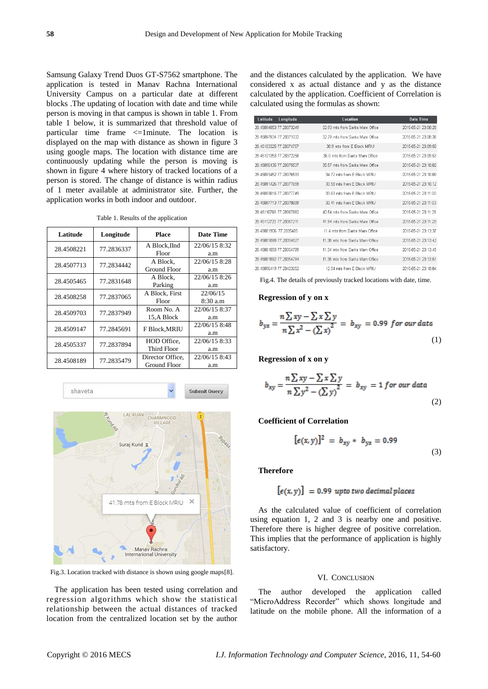Samsung Galaxy Trend Duos GT-S7562 smartphone. The application is tested in Manav Rachna International University Campus on a particular date at different blocks .The updating of location with date and time while person is moving in that campus is shown in table 1. From table 1 below, it is summarized that threshold value of particular time frame <=1minute. The location is displayed on the map with distance as shown in figure 3 using google maps. The location with distance time are continuously updating while the person is moving is shown in figure 4 where history of tracked locations of a person is stored. The change of distance is within radius of 1 meter available at administrator site. Further, the application works in both indoor and outdoor.

|  |  | Table 1. Results of the application |  |  |  |  |  |
|--|--|-------------------------------------|--|--|--|--|--|
|--|--|-------------------------------------|--|--|--|--|--|

| Latitude   | Longitude  | <b>Place</b>         | Date Time     |  |
|------------|------------|----------------------|---------------|--|
| 28.4508221 | 77.2836337 | A Block, IInd        | 22/06/15 8:32 |  |
|            |            | Floor                | a.m           |  |
| 28.4507713 | 77.2834442 | A Block.             | 22/06/15 8:28 |  |
|            |            | Ground Floor         | a.m           |  |
| 28.4505465 | 77.2831648 | A Block,             | 22/06/15 8:26 |  |
|            |            | Parking              | a.m           |  |
| 28.4508258 | 77.2837065 | A Block, First       | 22/06/15      |  |
|            |            | Floor                | 8:30a.m       |  |
| 28.4509703 | 77.2837949 | Room No. A           | 22/06/15 8:37 |  |
|            |            | 15.A Block           | a.m           |  |
| 28.4509147 | 77.2845691 | <b>F Block, MRIU</b> | 22/06/15 8:48 |  |
|            |            |                      | a.m           |  |
| 28.4505337 | 77.2837894 | HOD Office.          | 22/06/15 8:33 |  |
|            |            | Third Floor          | a.m           |  |
| 28.4508189 | 77.2835479 | Director Office.     | 22/06/15 8:43 |  |
|            |            | Ground Floor         | a.m           |  |



Fig.3. Location tracked with distance is shown using google maps[8].

The application has been tested using correlation and regression algorithms which show the statistical relationship between the actual distances of tracked location from the centralized location set by the author and the distances calculated by the application. We have considered x as actual distance and y as the distance calculated by the application. Coefficient of Correlation is calculated using the formulas as shown:

| Latitude                | Longitude               | <b>Location</b>                  | <b>Date Time</b>    |
|-------------------------|-------------------------|----------------------------------|---------------------|
|                         | 28 45094853 77 28373249 | 32.93 mts from Sarita Mam Office | 2015-05-21 23:08:28 |
|                         | 28.45097934 77.28371032 | 32.79 mts from Sarita Mam Office | 2015-05-21 23:08:38 |
| 28.45103325 77.28374757 |                         | 38.9 mts from E Block MRIU       | 2015-05-21 23:09:50 |
|                         | 28.45101353 77.28372258 | 36.0 mts from Sarita Mam Office  | 2015-05-21 23:09:53 |
| 28.45096135 77.28375537 |                         | 35.57 mts from Sarita Mam Office | 2015-05-21 23:10:02 |
|                         | 28 45093452 77 28376593 | 34.72 mts from E Block MRIU      | 2015-05-21 23:10:09 |
|                         | 28.45091426 77.28377659 | 33.58 mts from E Block MRIU      | 2015-05-21 23:10:12 |
|                         | 28 45093816 77 28377749 | 33.63 mts from E. Block MRIU     | 2015-05-21 23:11:00 |
|                         | 28.45097713.77.28378689 | 33.41 mts from E Block MRIU      | 2015-05-21 23:11:03 |
|                         | 28.45110769 77.28367882 | 40.54 mts from Sarita Mam Office | 2015-05-21 23:11:25 |
| 28.45112723.77.28367211 |                         | 41.94 mts from Sarita Mam Office | 2015-05-21 23:11:28 |
| 28.45081906 77.2835485  |                         | 11.4 mts from Sarita Mam Office  | 2015-05-21 23:13:37 |
| 28 45081898 77 28354827 |                         | 11.38 mts from Sarita Mam Office | 2015-05-21 23:13:42 |
|                         | 28.45081893 77.28354789 | 11.34 mts from Sarita Mam Office | 2015-05-21 23:13:45 |
|                         | 28.45081892 77.28354794 | 11.35 mts from Sarita Mam Office | 2015-05-21 23:13:51 |
|                         | 28 45096419 77 28423252 | 12.54 mts from E Block MRIU      | 2015-05-21 23:18:04 |

Fig.4. The details of previously tracked locations with date, time.

#### **Regression of y on x**

$$
b_{yx} = \frac{n\sum xy - \sum x\sum y}{n\sum x^2 - (\sum x)^2} = b_{xy} = 0.99 \text{ for our data}
$$
\n(1)

**Regression of x on y**

$$
b_{xy} = \frac{n\sum xy - \sum x \sum y}{n\sum y^2 - (\sum y)^2} = b_{xy} = 1 \text{ for our data}
$$
\n(2)

## **Coefficient of Correlation**

$$
[\epsilon(x, y)]^2 = b_{xy} * b_{yx} = 0.99
$$
\n(3)

**Therefore** 

$$
[\epsilon(x, y)] = 0.99 \text{ upto two decimal places}
$$

As the calculated value of coefficient of correlation using equation 1, 2 and 3 is nearby one and positive. Therefore there is higher degree of positive correlation. This implies that the performance of application is highly satisfactory.

## VI. CONCLUSION

The author developed the application called "MicroAddress Recorder" which shows longitude and latitude on the mobile phone. All the information of a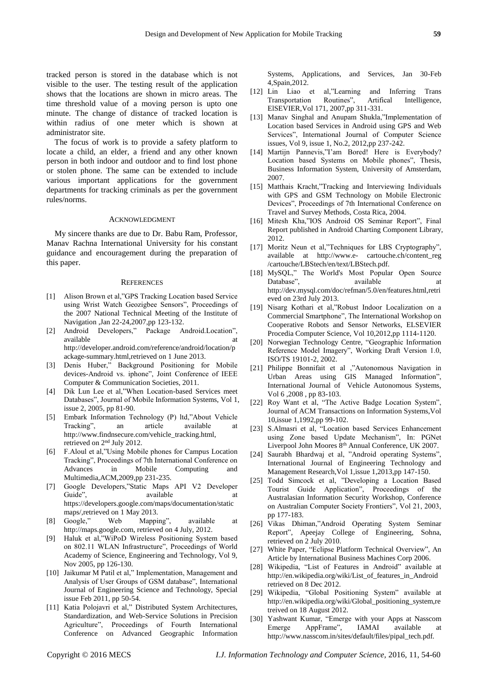tracked person is stored in the database which is not visible to the user. The testing result of the application shows that the locations are shown in micro areas. The time threshold value of a moving person is upto one minute. The change of distance of tracked location is within radius of one meter which is shown at administrator site.

The focus of work is to provide a safety platform to locate a child, an elder, a friend and any other known person in both indoor and outdoor and to find lost phone or stolen phone. The same can be extended to include various important applications for the government departments for tracking criminals as per the government rules/norms.

#### ACKNOWLEDGMENT

My sincere thanks are due to Dr. Babu Ram, Professor, Manav Rachna International University for his constant guidance and encouragement during the preparation of this paper.

#### **REFERENCES**

- [1] Alison Brown et al,"GPS Tracking Location based Service using Wrist Watch Geozigbee Sensors", Proceedings of the 2007 National Technical Meeting of the Institute of Navigation ,Jan 22-24,2007,pp 123-132.
- [2] Android Developers," Package Android.Location", available [http://developer.android.com/reference/android/location/p](http://developer.android.com/reference/android/location/package-summary.html,retrieved) [ackage-summary.html,retrieved](http://developer.android.com/reference/android/location/package-summary.html,retrieved) on 1 June 2013.
- [3] Denis Huber," Background Positioning for Mobile devices-Android vs. iphone", Joint Conference of IEEE Computer & Communication Societies, 2011.
- [4] Dik Lun Lee et al,"When Location-based Services meet Databases", Journal of Mobile Information Systems, Vol 1, issue 2, 2005, pp 81-90.
- [5] Embark Information Technology (P) ltd,"About Vehicle Tracking", an article available at http://www.findnsecure.com/vehicle\_tracking.html, retrieved on 2nd July 2012.
- [6] F.Aloul et al,"Using Mobile phones for Campus Location Tracking", Proceedings of 7th International Conference on Advances in Mobile Computing and Multimedia,ACM,2009,pp 231-235.
- [7] Google Developers,"Static Maps API V2 Developer Guide", available at a result of the same at a variable at a result of the same at a result of the same at a result of the same at a result of the same at a result of the same at a result of the same at a result of the sam [https://developers.google.com/maps/documentation/static](https://developers.google.com/maps/documentation/staticmaps/,retrieved) [maps/,retrieved](https://developers.google.com/maps/documentation/staticmaps/,retrieved) on 1 May 2013.
- [8] Google," Web Mapping", available at http://maps.google.com, retrieved on 4 July, 2012.
- [9] Haluk et al,"WiPoD Wireless Positioning System based on 802.11 WLAN Infrastructure", Proceedings of World Academy of Science, Engineering and Technology, Vol 9, Nov 2005, pp 126-130.
- [10] Jaikumar M Patil et al," Implementation, Management and Analysis of User Groups of GSM database", International Journal of Engineering Science and Technology, Special issue Feb 2011, pp 50-54.
- [11] Katia Polojavri et al," Distributed System Architectures, Standardization, and Web-Service Solutions in Precision Agriculture", Proceedings of Fourth International Conference on Advanced Geographic Information

Systems, Applications, and Services, Jan 30-Feb 4,Spain,2012.

- [12] Lin Liao et al,"Learning and Inferring Trans Transportation Routines", Artifical Intelligence, ElSEVIER,Vol 171, 2007,pp 311-331.
- [13] Manav Singhal and Anupam Shukla,"Implementation of Location based Services in Android using GPS and Web Services", International Journal of Computer Science issues, Vol 9, issue 1, No.2, 2012,pp 237-242.
- [14] Martijn Pannevis,"I'am Bored! Here is Everybody? Location based Systems on Mobile phones", Thesis, Business Information System, University of Amsterdam, 2007.
- [15] Matthais Kracht,"Tracking and Interviewing Individuals with GPS and GSM Technology on Mobile Electronic Devices", Proceedings of 7th International Conference on Travel and Survey Methods, Costa Rica, 2004.
- [16] Mitesh Kha,"IOS Android OS Seminar Report", Final Report published in Android Charting Component Library, 2012.
- [17] Moritz Neun et al,"Techniques for LBS Cryptography", available at [http://www.e-](http://www.e-/) cartouche.ch/content\_reg /cartouche/LBStech/en/text/LBStech.pdf.
- [18] MySQL," The World's Most Popular Open Source Database", available at a result at a variable at the same at a variable at a variable at  $\alpha$ [http://dev.mysql.com/doc/refman/5.0/en/features.html,retri](http://dev.mysql.com/doc/refman/5.0/en/features.html,retrieved) [eved](http://dev.mysql.com/doc/refman/5.0/en/features.html,retrieved) on 23rd July 2013.
- [19] Nisarg Kothari et al,"Robust Indoor Localization on a Commercial Smartphone", The International Workshop on Cooperative Robots and Sensor Networks, ELSEVIER Procedia Computer Science, Vol 10,2012,pp 1114-1120.
- [20] Norwegian Technology Centre, "Geographic Information Reference Model Imagery", Working Draft Version 1.0, ISO/TS 19101-2, 2002.
- [21] Philippe Bonnifait et al ,"Autonomous Navigation in Urban Areas using GIS Managed Information", International Journal of Vehicle Autonomous Systems, Vol 6 ,2008 , pp 83-103.
- [22] Roy Want et al, "The Active Badge Location System", Journal of ACM Transactions on Information Systems,Vol 10,issue 1,1992,pp 99-102.
- [23] S.Almasri et al, "Location based Services Enhancement using Zone based Update Mechanism", In: PGNet Liverpool John Moores 8<sup>th</sup> Annual Conference, UK 2007.
- [24] Saurabh Bhardwaj et al, "Android operating Systems", International Journal of Engineering Technology and Management Research,Vol 1,issue 1,2013,pp 147-150.
- [25] Todd Simcock et al, "Developing a Location Based Tourist Guide Application", Proceedings of the Australasian Information Security Workshop, Conference on Australian Computer Society Frontiers", Vol 21, 2003, pp 177-183.
- [26] Vikas Dhiman,"Android Operating System Seminar Report", Apeejay College of Engineering, Sohna, retrieved on 2 July 2010.
- [27] White Paper, "Eclipse Platform Technical Overview", An Article by International Business Machines Corp 2006.
- [28] Wikipedia, "List of Features in Android" available at [http://en.wikipedia.org/wiki/List\\_of\\_features\\_in\\_Android](http://en.wikipedia.org/wiki/List_of_features_in_Android) retrieved on 8 Dec 2012.
- [29] Wikipedia, "Global Positioning System" available at http://en.wikipedia.org/wiki/Global\_positioning\_system,re treived on 18 August 2012.
- [30] Yashwant Kumar, "Emerge with your Apps at Nasscom Emerge AppFrame", IAMAI available at http://www.nasscom.in/sites/default/files/pipal\_tech.pdf.